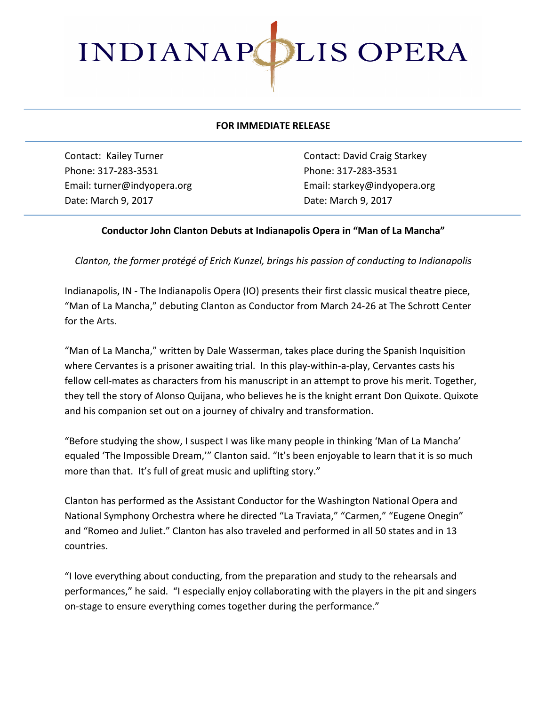

## **FOR IMMEDIATE RELEASE**

Phone: 317-283-3531 Phone: 317-283-3531 Date: March 9, 2017 **Date: March 9, 2017** 

Contact: Kailey Turner **Contact:** David Craig Starkey Email: turner@indyopera.org Email: starkey@indyopera.org

## **Conductor John Clanton Debuts at Indianapolis Opera in "Man of La Mancha"**

*Clanton, the former protégé of Erich Kunzel, brings his passion of conducting to Indianapolis* 

Indianapolis, IN - The Indianapolis Opera (IO) presents their first classic musical theatre piece, "Man of La Mancha," debuting Clanton as Conductor from March 24-26 at The Schrott Center for the Arts.

"Man of La Mancha," written by Dale Wasserman, takes place during the Spanish Inquisition where Cervantes is a prisoner awaiting trial. In this play-within-a-play, Cervantes casts his fellow cell-mates as characters from his manuscript in an attempt to prove his merit. Together, they tell the story of Alonso Quijana, who believes he is the knight errant Don Quixote. Quixote and his companion set out on a journey of chivalry and transformation.

"Before studying the show, I suspect I was like many people in thinking 'Man of La Mancha' equaled 'The Impossible Dream,'" Clanton said. "It's been enjoyable to learn that it is so much more than that. It's full of great music and uplifting story."

Clanton has performed as the Assistant Conductor for the Washington National Opera and National Symphony Orchestra where he directed "La Traviata," "Carmen," "Eugene Onegin" and "Romeo and Juliet." Clanton has also traveled and performed in all 50 states and in 13 countries.

"I love everything about conducting, from the preparation and study to the rehearsals and performances," he said. "I especially enjoy collaborating with the players in the pit and singers on-stage to ensure everything comes together during the performance."